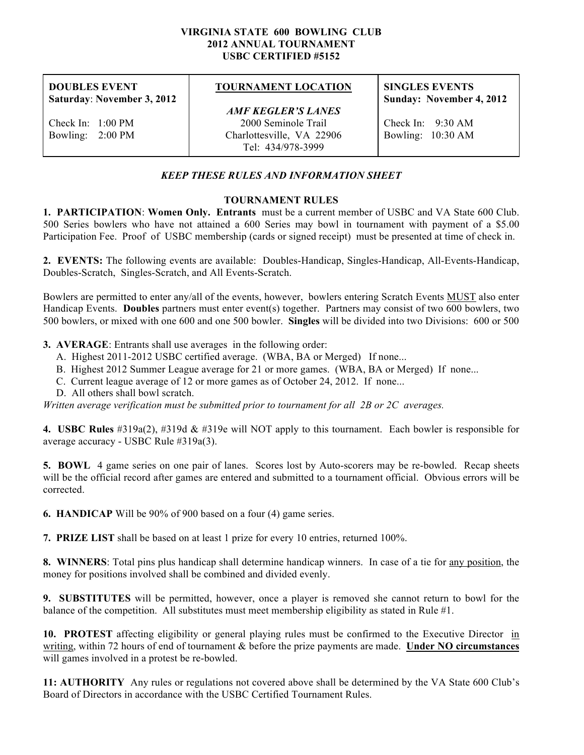#### **VIRGINIA STATE 600 BOWLING CLUB 2012 ANNUAL TOURNAMENT USBC CERTIFIED #5152**

**DOUBLES EVENT Saturday**: **November 3, 2012**

Check In: 1:00 PM Bowling: 2:00 PM

## **TOURNAMENT LOCATION**

*AMF KEGLER'S LANES* 2000 Seminole Trail Charlottesville, VA 22906 Tel: 434/978-3999

### **SINGLES EVENTS Sunday: November 4, 2012**

Check In: 9:30 AM Bowling: 10:30 AM

## *KEEP THESE RULES AND INFORMATION SHEET*

### **TOURNAMENT RULES**

**1. PARTICIPATION**: **Women Only. Entrants** must be a current member of USBC and VA State 600 Club. 500 Series bowlers who have not attained a 600 Series may bowl in tournament with payment of a \$5.00 Participation Fee. Proof of USBC membership (cards or signed receipt) must be presented at time of check in.

**2. EVENTS:** The following events are available: Doubles-Handicap, Singles-Handicap, All-Events-Handicap, Doubles-Scratch, Singles-Scratch, and All Events-Scratch.

Bowlers are permitted to enter any/all of the events, however, bowlers entering Scratch Events MUST also enter Handicap Events. **Doubles** partners must enter event(s) together. Partners may consist of two 600 bowlers, two 500 bowlers, or mixed with one 600 and one 500 bowler. **Singles** will be divided into two Divisions: 600 or 500

**3. AVERAGE**: Entrants shall use averages in the following order:

- A. Highest 2011-2012 USBC certified average. (WBA, BA or Merged) If none...
- B. Highest 2012 Summer League average for 21 or more games. (WBA, BA or Merged) If none...
- C. Current league average of 12 or more games as of October 24, 2012. If none...
- D. All others shall bowl scratch.

*Written average verification must be submitted prior to tournament for all 2B or 2C averages.*

**4. USBC Rules** #319a(2), #319d & #319e will NOT apply to this tournament. Each bowler is responsible for average accuracy - USBC Rule #319a(3).

**5. BOWL** 4 game series on one pair of lanes. Scores lost by Auto-scorers may be re-bowled. Recap sheets will be the official record after games are entered and submitted to a tournament official. Obvious errors will be corrected.

**6. HANDICAP** Will be 90% of 900 based on a four (4) game series.

**7. PRIZE LIST** shall be based on at least 1 prize for every 10 entries, returned 100%.

**8. WINNERS**: Total pins plus handicap shall determine handicap winners. In case of a tie for any position, the money for positions involved shall be combined and divided evenly.

**9. SUBSTITUTES** will be permitted, however, once a player is removed she cannot return to bowl for the balance of the competition. All substitutes must meet membership eligibility as stated in Rule #1.

**10. PROTEST** affecting eligibility or general playing rules must be confirmed to the Executive Director in writing, within 72 hours of end of tournament & before the prize payments are made. **Under NO circumstances** will games involved in a protest be re-bowled.

**11: AUTHORITY** Any rules or regulations not covered above shall be determined by the VA State 600 Club's Board of Directors in accordance with the USBC Certified Tournament Rules.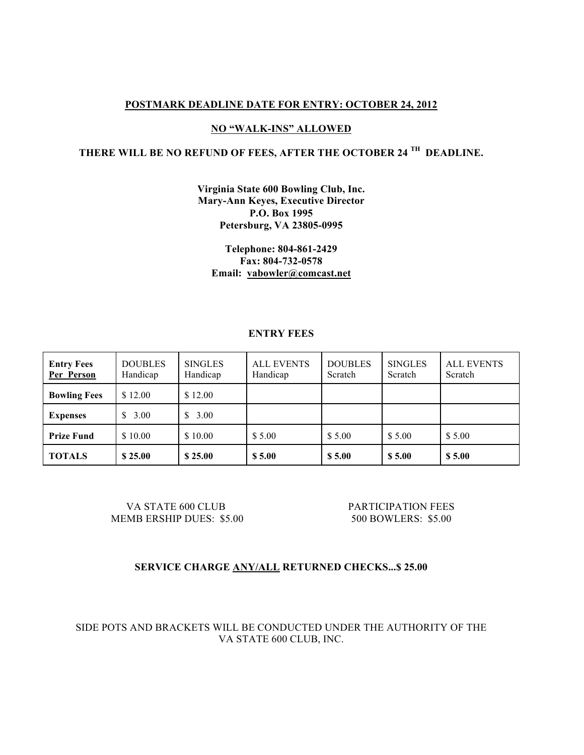### **POSTMARK DEADLINE DATE FOR ENTRY: OCTOBER 24, 2012**

### **NO "WALK-INS" ALLOWED**

# **THERE WILL BE NO REFUND OF FEES, AFTER THE OCTOBER 24 TH DEADLINE.**

**Virginia State 600 Bowling Club, Inc. Mary-Ann Keyes, Executive Director P.O. Box 1995 Petersburg, VA 23805-0995**

**Telephone: 804-861-2429 Fax: 804-732-0578 Email: vabowler@comcast.net**

### **ENTRY FEES**

| <b>Entry Fees</b><br>Per Person | <b>DOUBLES</b><br>Handicap | <b>SINGLES</b><br>Handicap | <b>ALL EVENTS</b><br>Handicap | <b>DOUBLES</b><br>Scratch | <b>SINGLES</b><br>Scratch | <b>ALL EVENTS</b><br>Scratch |
|---------------------------------|----------------------------|----------------------------|-------------------------------|---------------------------|---------------------------|------------------------------|
| <b>Bowling Fees</b>             | \$12.00                    | \$12.00                    |                               |                           |                           |                              |
| <b>Expenses</b>                 | \$3.00                     | 3.00                       |                               |                           |                           |                              |
| <b>Prize Fund</b>               | \$10.00                    | \$10.00                    | \$5.00                        | \$5.00                    | \$5.00                    | \$5.00                       |
| <b>TOTALS</b>                   | \$25.00                    | \$25.00                    | \$5.00                        | \$5.00                    | \$5.00                    | \$5.00                       |

VA STATE 600 CLUB PARTICIPATION FEES MEMB ERSHIP DUES: \$5.00 500 BOWLERS: \$5.00

## **SERVICE CHARGE ANY/ALL RETURNED CHECKS...\$ 25.00**

SIDE POTS AND BRACKETS WILL BE CONDUCTED UNDER THE AUTHORITY OF THE VA STATE 600 CLUB, INC.